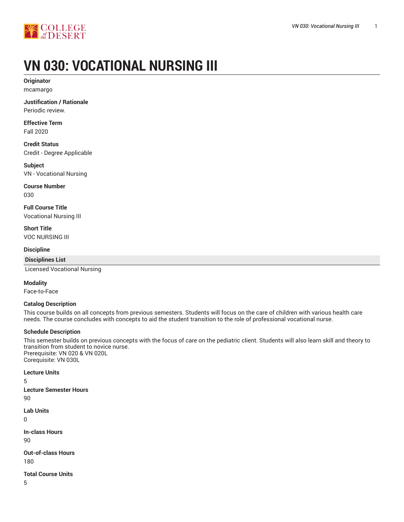

# **VN 030: VOCATIONAL NURSING III**

**Originator** mcamargo

**Justification / Rationale** Periodic review.

**Effective Term** Fall 2020

**Credit Status** Credit - Degree Applicable

**Subject** VN - Vocational Nursing

**Course Number** 030

**Full Course Title** Vocational Nursing III

**Short Title** VOC NURSING III

**Discipline**

**Disciplines List**

Licensed Vocational Nursing

**Modality**

Face-to-Face

#### **Catalog Description**

This course builds on all concepts from previous semesters. Students will focus on the care of children with various health care needs. The course concludes with concepts to aid the student transition to the role of professional vocational nurse.

#### **Schedule Description**

This semester builds on previous concepts with the focus of care on the pediatric client. Students will also learn skill and theory to transition from student to novice nurse. Prerequisite: VN 020 & VN 020L Corequisite: VN 030L

**Lecture Units**

5

**Lecture Semester Hours** 90

**Lab Units**

0

**In-class Hours** 90

**Out-of-class Hours** 180

**Total Course Units**

5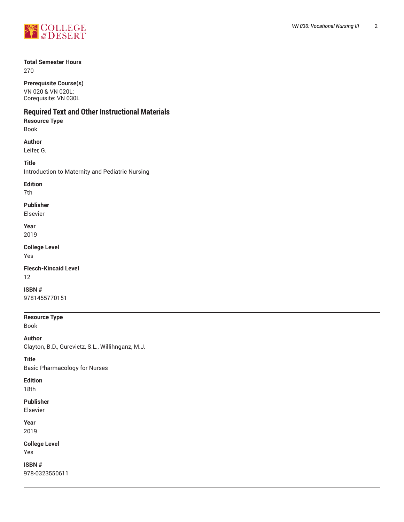

#### **Total Semester Hours**

270

**Prerequisite Course(s)**

VN 020 & VN 020L; Corequisite: VN 030L

# **Required Text and Other Instructional Materials**

**Resource Type** Book

**Author** Leifer, G.

**Title** Introduction to Maternity and Pediatric Nursing

**Edition** 7th

**Publisher**

Elsevier

**Year** 2019

**College Level** Yes

**Flesch-Kincaid Level** 12

**ISBN #** 9781455770151

**Resource Type** Book

**Author** Clayton, B.D., Gurevietz, S.L., Willihnganz, M.J.

**Title**

Basic Pharmacology for Nurses

**Edition** 18th

**Publisher** Elsevier

**Year** 2019

**College Level** Yes

**ISBN #** 978-0323550611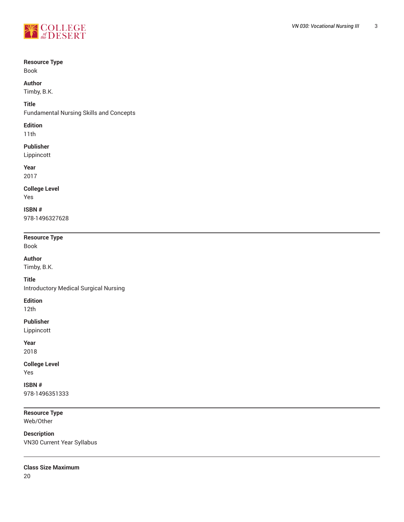

#### **Resource Type**

Book

#### **Author**

Timby, B.K.

#### **Title**

Fundamental Nursing Skills and Concepts

#### **Edition**

11th

# **Publisher**

Lippincott

#### **Year**

2017

# **College Level**

Yes

# **ISBN #**

978-1496327628

# **Resource Type**

Book

# **Author**

Timby, B.K.

## **Title**

Introductory Medical Surgical Nursing

#### **Edition**

12th

#### **Publisher**

Lippincott

#### **Year**

2018

# **College Level**

Yes

#### **ISBN #** 978-1496351333

**Resource Type** Web/Other

# **Description** VN30 Current Year Syllabus

**Class Size Maximum**

20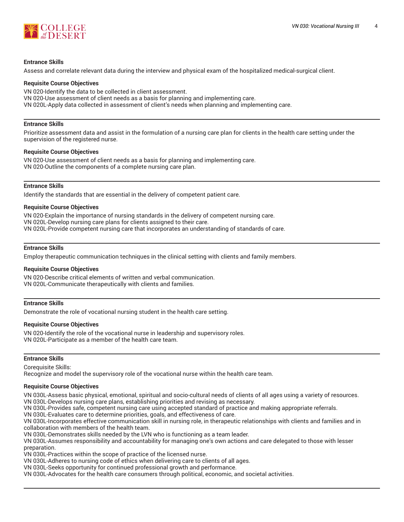

#### **Entrance Skills**

Assess and correlate relevant data during the interview and physical exam of the hospitalized medical-surgical client.

#### **Requisite Course Objectives**

VN 020-Identify the data to be collected in client assessment. VN 020-Use assessment of client needs as a basis for planning and implementing care. VN 020L-Apply data collected in assessment of client's needs when planning and implementing care.

#### **Entrance Skills**

Prioritize assessment data and assist in the formulation of a nursing care plan for clients in the health care setting under the supervision of the registered nurse.

#### **Requisite Course Objectives**

VN 020-Use assessment of client needs as a basis for planning and implementing care. VN 020-Outline the components of a complete nursing care plan.

#### **Entrance Skills**

Identify the standards that are essential in the delivery of competent patient care.

#### **Requisite Course Objectives**

VN 020-Explain the importance of nursing standards in the delivery of competent nursing care. VN 020L-Develop nursing care plans for clients assigned to their care. VN 020L-Provide competent nursing care that incorporates an understanding of standards of care.

#### **Entrance Skills**

Employ therapeutic communication techniques in the clinical setting with clients and family members.

#### **Requisite Course Objectives**

VN 020-Describe critical elements of written and verbal communication. VN 020L-Communicate therapeutically with clients and families.

#### **Entrance Skills**

Demonstrate the role of vocational nursing student in the health care setting.

#### **Requisite Course Objectives**

VN 020-Identify the role of the vocational nurse in leadership and supervisory roles. VN 020L-Participate as a member of the health care team.

#### **Entrance Skills**

Corequisite Skills:

Recognize and model the supervisory role of the vocational nurse within the health care team.

#### **Requisite Course Objectives**

VN 030L-Assess basic physical, emotional, spiritual and socio-cultural needs of clients of all ages using a variety of resources.

VN 030L-Develops nursing care plans, establishing priorities and revising as necessary.

VN 030L-Provides safe, competent nursing care using accepted standard of practice and making appropriate referrals.

VN 030L-Evaluates care to determine priorities, goals, and effectiveness of care.

VN 030L-Incorporates effective communication skill in nursing role, in therapeutic relationships with clients and families and in collaboration with members of the health team.

VN 030L-Demonstrates skills needed by the LVN who is functioning as a team leader.

VN 030L-Assumes responsibility and accountability for managing one's own actions and care delegated to those with lesser preparation.

VN 030L-Practices within the scope of practice of the licensed nurse.

VN 030L-Adheres to nursing code of ethics when delivering care to clients of all ages.

VN 030L-Seeks opportunity for continued professional growth and performance.

VN 030L-Advocates for the health care consumers through political, economic, and societal activities.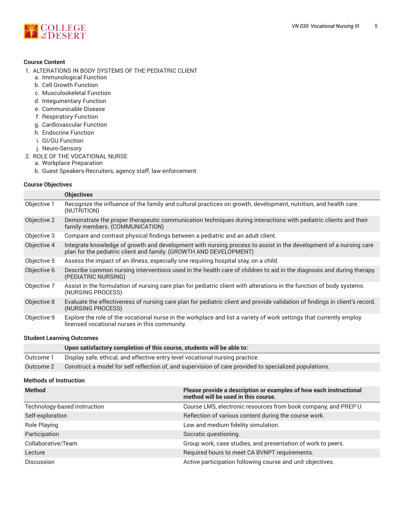## **Course Content**

- 1. ALTERATIONS IN BODY SYSTEMS OF THE PEDIATRIC CLIENT
	- a. Immunological Function
	- b. Cell Growth Function
	- c. Musculoskeletal Function
	- d. Integumentary Function
	- e. Communicable Disease
	- f. Respiratory Function
	- g. Cardiovascular Function
	- h. Endocrine Function
	- i. GI/GU Function
	- j. Neuro-Sensory
- 2. ROLE OF THE VOCATIONAL NURSE
	- a. Workplace Preparation
	- b. Guest Speakers-Recruiters, agency staff, law enforcement.

#### **Course Objectives**

|             | <b>Objectives</b>                                                                                                                                                                       |
|-------------|-----------------------------------------------------------------------------------------------------------------------------------------------------------------------------------------|
| Objective 1 | Recognize the influence of the family and cultural practices on growth, development, nutrition, and health care.<br>(NUTRITION)                                                         |
| Objective 2 | Demonstrate the proper therapeutic communication techniques during interactions with pediatric clients and their<br>family members. (COMMUNICATION)                                     |
| Objective 3 | Compare and contrast physical findings between a pediatric and an adult client.                                                                                                         |
| Objective 4 | Integrate knowledge of growth and development with nursing process to assist in the development of a nursing care<br>plan for the pediatric client and family. (GROWTH AND DEVELOPMENT) |
| Objective 5 | Assess the impact of an illness, especially one requiring hospital stay, on a child.                                                                                                    |
| Objective 6 | Describe common nursing interventions used in the health care of children to aid in the diagnosis and during therapy.<br>(PEDIATRIC NURSING)                                            |
| Objective 7 | Assist in the formulation of nursing care plan for pediatric client with alterations in the function of body systems.<br>(NURSING PROCESS)                                              |
| Objective 8 | Evaluate the effectiveness of nursing care plan for pediatric client and provide validation of findings in client's record.<br>(NURSING PROCESS)                                        |
| Objective 9 | Explore the role of the vocational nurse in the workplace and list a variety of work settings that currently employ<br>licensed vocational nurses in this community.                    |

#### **Student Learning Outcomes**

|           | Upon satisfactory completion of this course, students will be able to:                                 |
|-----------|--------------------------------------------------------------------------------------------------------|
| Outcome 1 | Display safe, ethical, and effective entry level vocational nursing practice.                          |
| Outcome 2 | Construct a model for self reflection of, and supervision of care provided to specialized populations. |

#### **Methods of Instruction**

| <b>Method</b>                | Please provide a description or examples of how each instructional<br>method will be used in this course. |
|------------------------------|-----------------------------------------------------------------------------------------------------------|
| Technology-based instruction | Course LMS, electronic resources from book company, and PREP U                                            |
| Self-exploration             | Reflection of various content during the course work.                                                     |
| Role Playing                 | Low and medium fidelity simulation.                                                                       |
| Participation                | Socratic questioning.                                                                                     |
| Collaborative/Team           | Group work, case studies, and presentation of work to peers.                                              |
| Lecture                      | Required hours to meet CA BVNPT requirements.                                                             |
| <b>Discussion</b>            | Active participation following course and unit objectives.                                                |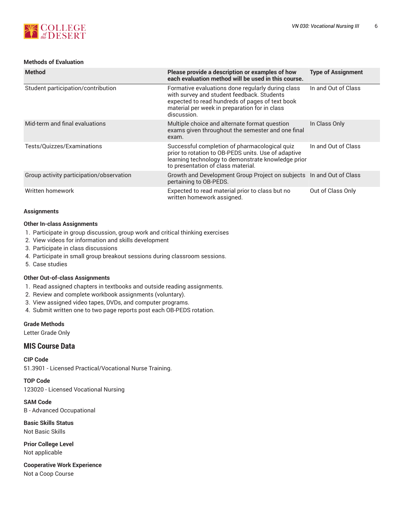

#### **Methods of Evaluation**

| <b>Method</b>                            | Please provide a description or examples of how<br>each evaluation method will be used in this course.                                                                                                             | <b>Type of Assignment</b> |
|------------------------------------------|--------------------------------------------------------------------------------------------------------------------------------------------------------------------------------------------------------------------|---------------------------|
| Student participation/contribution       | Formative evaluations done regularly during class<br>with survey and student feedback. Students<br>expected to read hundreds of pages of text book<br>material per week in preparation for in class<br>discussion. | In and Out of Class       |
| Mid-term and final evaluations           | Multiple choice and alternate format question<br>exams given throughout the semester and one final<br>exam.                                                                                                        | In Class Only             |
| Tests/Quizzes/Examinations               | Successful completion of pharmacological quiz<br>prior to rotation to OB-PEDS units. Use of adaptive<br>learning technology to demonstrate knowledge prior<br>to presentation of class material.                   | In and Out of Class       |
| Group activity participation/observation | Growth and Development Group Project on subjects  In and Out of Class<br>pertaining to OB-PEDS.                                                                                                                    |                           |
| Written homework                         | Expected to read material prior to class but no<br>written homework assigned.                                                                                                                                      | Out of Class Only         |

#### **Assignments**

#### **Other In-class Assignments**

- 1. Participate in group discussion, group work and critical thinking exercises
- 2. View videos for information and skills development
- 3. Participate in class discussions
- 4. Participate in small group breakout sessions during classroom sessions.
- 5. Case studies

#### **Other Out-of-class Assignments**

- 1. Read assigned chapters in textbooks and outside reading assignments.
- 2. Review and complete workbook assignments (voluntary).
- 3. View assigned video tapes, DVDs, and computer programs.
- 4. Submit written one to two page reports post each OB-PEDS rotation.

### **Grade Methods**

Letter Grade Only

## **MIS Course Data**

**CIP Code** 51.3901 - Licensed Practical/Vocational Nurse Training.

**TOP Code**

123020 - Licensed Vocational Nursing

**SAM Code** B - Advanced Occupational

**Basic Skills Status** Not Basic Skills

**Prior College Level** Not applicable

**Cooperative Work Experience** Not a Coop Course